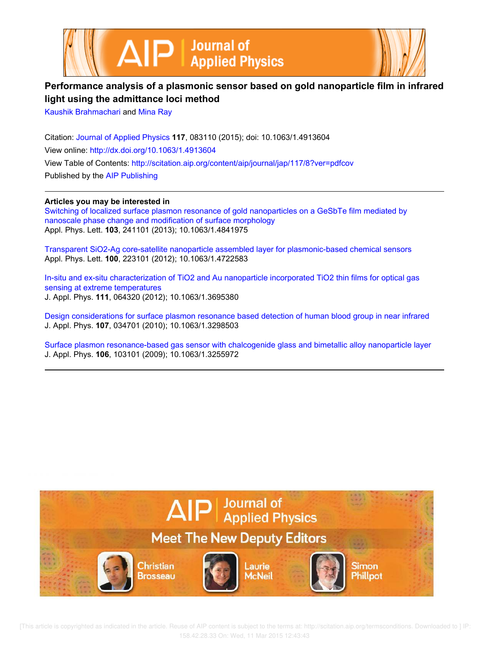



# **Performance analysis of a plasmonic sensor based on gold nanoparticle film in infrared light using the admittance loci method**

Kaushik Brahmachari and Mina Ray

Citation: Journal of Applied Physics **117**, 083110 (2015); doi: 10.1063/1.4913604 View online: http://dx.doi.org/10.1063/1.4913604 View Table of Contents: http://scitation.aip.org/content/aip/journal/jap/117/8?ver=pdfcov Published by the AIP Publishing

**Articles you may be interested in**

Switching of localized surface plasmon resonance of gold nanoparticles on a GeSbTe film mediated by nanoscale phase change and modification of surface morphology Appl. Phys. Lett. **103**, 241101 (2013); 10.1063/1.4841975

Transparent SiO2-Ag core-satellite nanoparticle assembled layer for plasmonic-based chemical sensors Appl. Phys. Lett. **100**, 223101 (2012); 10.1063/1.4722583

In-situ and ex-situ characterization of TiO2 and Au nanoparticle incorporated TiO2 thin films for optical gas sensing at extreme temperatures J. Appl. Phys. **111**, 064320 (2012); 10.1063/1.3695380

Design considerations for surface plasmon resonance based detection of human blood group in near infrared J. Appl. Phys. **107**, 034701 (2010); 10.1063/1.3298503

Surface plasmon resonance-based gas sensor with chalcogenide glass and bimetallic alloy nanoparticle layer J. Appl. Phys. **106**, 103101 (2009); 10.1063/1.3255972



 [This article is copyrighted as indicated in the article. Reuse of AIP content is subject to the terms at: http://scitation.aip.org/termsconditions. Downloaded to ] IP: 158.42.28.33 On: Wed, 11 Mar 2015 12:43:43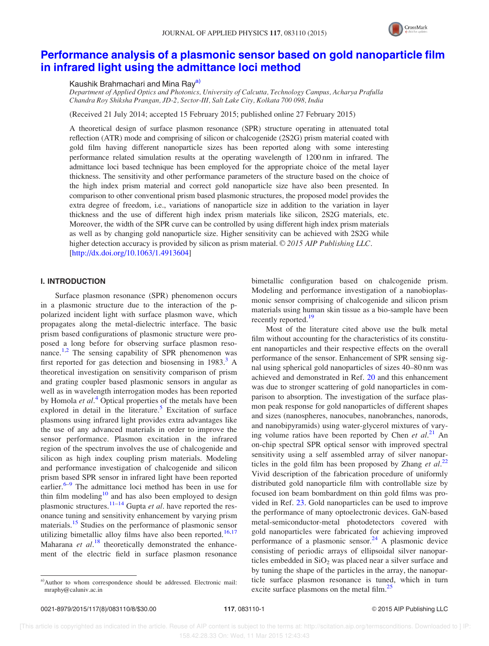

# Performance analysis of a plasmonic sensor based on gold nanoparticle film in infrared light using the admittance loci method

Kaushik Brahmachari and Mina Rav<sup>a)</sup>

Department of Applied Optics and Photonics, University of Calcutta, Technology Campus, Acharya Prafulla Chandra Roy Shiksha Prangan, JD-2, Sector-III, Salt Lake City, Kolkata 700 098, India

(Received 21 July 2014; accepted 15 February 2015; published online 27 February 2015)

A theoretical design of surface plasmon resonance (SPR) structure operating in attenuated total reflection (ATR) mode and comprising of silicon or chalcogenide (2S2G) prism material coated with gold film having different nanoparticle sizes has been reported along with some interesting performance related simulation results at the operating wavelength of 1200 nm in infrared. The admittance loci based technique has been employed for the appropriate choice of the metal layer thickness. The sensitivity and other performance parameters of the structure based on the choice of the high index prism material and correct gold nanoparticle size have also been presented. In comparison to other conventional prism based plasmonic structures, the proposed model provides the extra degree of freedom, i.e., variations of nanoparticle size in addition to the variation in layer thickness and the use of different high index prism materials like silicon, 2S2G materials, etc. Moreover, the width of the SPR curve can be controlled by using different high index prism materials as well as by changing gold nanoparticle size. Higher sensitivity can be achieved with 2S2G while higher detection accuracy is provided by silicon as prism material.  $\odot$  2015 AIP Publishing LLC. [http://dx.doi.org/10.1063/1.4913604]

## I. INTRODUCTION

Surface plasmon resonance (SPR) phenomenon occurs in a plasmonic structure due to the interaction of the ppolarized incident light with surface plasmon wave, which propagates along the metal-dielectric interface. The basic prism based configurations of plasmonic structure were proposed a long before for observing surface plasmon resonance.<sup>1,2</sup> The sensing capability of SPR phenomenon was first reported for gas detection and biosensing in  $1983<sup>3</sup>$ . theoretical investigation on sensitivity comparison of prism and grating coupler based plasmonic sensors in angular as well as in wavelength interrogation modes has been reported by Homola et  $al$ <sup>4</sup>. Optical properties of the metals have been explored in detail in the literature.<sup>5</sup> Excitation of surface plasmons using infrared light provides extra advantages like the use of any advanced materials in order to improve the sensor performance. Plasmon excitation in the infrared region of the spectrum involves the use of chalcogenide and silicon as high index coupling prism materials. Modeling and performance investigation of chalcogenide and silicon prism based SPR sensor in infrared light have been reported earlier.<sup>6–9</sup> The admittance loci method has been in use for thin film modeling<sup>10</sup> and has also been employed to design plasmonic structures.<sup>11–14</sup> Gupta *et al*, have reported the resonance tuning and sensitivity enhancement by varying prism materials.<sup>15</sup> Studies on the performance of plasmonic sensor utilizing bimetallic alloy films have also been reported.<sup>16,17</sup> Maharana et al.<sup>18</sup> theoretically demonstrated the enhancement of the electric field in surface plasmon resonance

bimetallic configuration based on chalcogenide prism. Modeling and performance investigation of a nanobioplasmonic sensor comprising of chalcogenide and silicon prism materials using human skin tissue as a bio-sample have been recently reported.<sup>19</sup>

Most of the literature cited above use the bulk metal film without accounting for the characteristics of its constituent nanoparticles and their respective effects on the overall performance of the sensor. Enhancement of SPR sensing signal using spherical gold nanoparticles of sizes 40–80 nm was achieved and demonstrated in Ref. 20 and this enhancement was due to stronger scattering of gold nanoparticles in comparison to absorption. The investigation of the surface plasmon peak response for gold nanoparticles of different shapes and sizes (nanospheres, nanocubes, nanobranches, nanorods, and nanobipyramids) using water-glycerol mixtures of varying volume ratios have been reported by Chen et  $al.^{21}$  An on-chip spectral SPR optical sensor with improved spectral sensitivity using a self assembled array of silver nanoparticles in the gold film has been proposed by Zhang et  $al$ .<sup>22</sup> Vivid description of the fabrication procedure of uniformly distributed gold nanoparticle film with controllable size by focused ion beam bombardment on thin gold films was provided in Ref. 23. Gold nanoparticles can be used to improve the performance of many optoelectronic devices. GaN-based metal-semiconductor-metal photodetectors covered with gold nanoparticles were fabricated for achieving improved performance of a plasmonic sensor. $^{24}$  A plasmonic device consisting of periodic arrays of ellipsoidal silver nanoparticles embedded in  $SiO<sub>2</sub>$  was placed near a silver surface and by tuning the shape of the particles in the array, the nanoparticle surface plasmon resonance is tuned, which in turn excite surface plasmons on the metal film.<sup>25</sup>

a)Author to whom correspondence should be addressed. Electronic mail: mraphy@caluniv.ac.in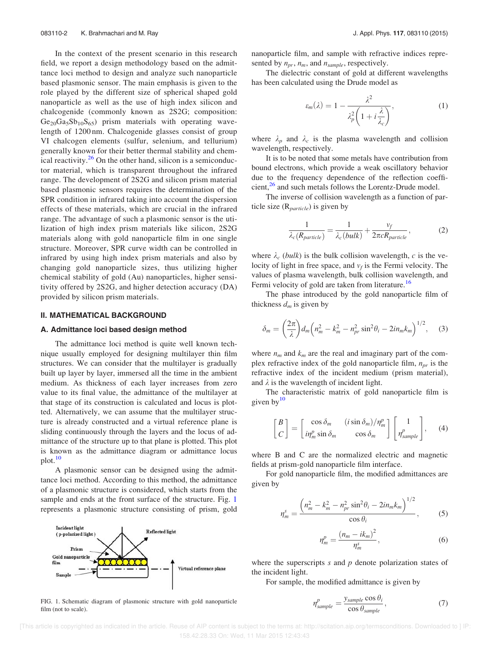In the context of the present scenario in this research field, we report a design methodology based on the admittance loci method to design and analyze such nanoparticle based plasmonic sensor. The main emphasis is given to the role played by the different size of spherical shaped gold nanoparticle as well as the use of high index silicon and chalcogenide (commonly known as 2S2G; composition:  $Ge_{20}Ga_5Sb_{10}S_{65}$  prism materials with operating wavelength of 1200 nm. Chalcogenide glasses consist of group VI chalcogen elements (sulfur, selenium, and tellurium) generally known for their better thermal stability and chemical reactivity. $26$  On the other hand, silicon is a semiconductor material, which is transparent throughout the infrared range. The development of 2S2G and silicon prism material based plasmonic sensors requires the determination of the SPR condition in infrared taking into account the dispersion effects of these materials, which are crucial in the infrared range. The advantage of such a plasmonic sensor is the utilization of high index prism materials like silicon, 2S2G materials along with gold nanoparticle film in one single structure. Moreover, SPR curve width can be controlled in infrared by using high index prism materials and also by changing gold nanoparticle sizes, thus utilizing higher chemical stability of gold (Au) nanoparticles, higher sensitivity offered by 2S2G, and higher detection accuracy (DA) provided by silicon prism materials.

## II. MATHEMATICAL BACKGROUND

## A. Admittance loci based design method

The admittance loci method is quite well known technique usually employed for designing multilayer thin film structures. We can consider that the multilayer is gradually built up layer by layer, immersed all the time in the ambient medium. As thickness of each layer increases from zero value to its final value, the admittance of the multilayer at that stage of its construction is calculated and locus is plotted. Alternatively, we can assume that the multilayer structure is already constructed and a virtual reference plane is sliding continuously through the layers and the locus of admittance of the structure up to that plane is plotted. This plot is known as the admittance diagram or admittance locus plot.<sup>10</sup>

A plasmonic sensor can be designed using the admittance loci method. According to this method, the admittance of a plasmonic structure is considered, which starts from the sample and ends at the front surface of the structure. Fig. 1 represents a plasmonic structure consisting of prism, gold



FIG. 1. Schematic diagram of plasmonic structure with gold nanoparticle  $n^p = \frac{y \text{ sample } \cos \theta_i}{x}$  (7) film (not to scale).

nanoparticle film, and sample with refractive indices represented by  $n_{pr}$ ,  $n_m$ , and  $n_{sample}$ , respectively.

The dielectric constant of gold at different wavelengths has been calculated using the Drude model as

$$
\varepsilon_m(\lambda) = 1 - \frac{\lambda^2}{\lambda_p^2 \left(1 + i\frac{\lambda}{\lambda_c}\right)},\tag{1}
$$

where  $\lambda_p$  and  $\lambda_c$  is the plasma wavelength and collision wavelength, respectively.

It is to be noted that some metals have contribution from bound electrons, which provide a weak oscillatory behavior due to the frequency dependence of the reflection coefficient,<sup>26</sup> and such metals follows the Lorentz-Drude model.

The inverse of collision wavelength as a function of particle size  $(R_{particle})$  is given by

$$
\frac{1}{\lambda_c(R_{particle})} = \frac{1}{\lambda_c(bulk)} + \frac{v_f}{2\pi cR_{particle}},
$$
 (2)

where  $\lambda_c$  (bulk) is the bulk collision wavelength, c is the velocity of light in free space, and  $v_f$  is the Fermi velocity. The values of plasma wavelength, bulk collision wavelength, and Fermi velocity of gold are taken from literature.<sup>16</sup>

The phase introduced by the gold nanoparticle film of thickness  $d_m$  is given by

$$
\delta_m = \left(\frac{2\pi}{\lambda}\right) d_m \left(n_m^2 - k_m^2 - n_{pr}^2 \sin^2\theta_i - 2in_m k_m\right)^{1/2}, \quad (3)
$$

where  $n_m$  and  $k_m$  are the real and imaginary part of the complex refractive index of the gold nanoparticle film,  $n_{pr}$  is the refractive index of the incident medium (prism material), and  $\lambda$  is the wavelength of incident light.

The characteristic matrix of gold nanoparticle film is given by $10$ 

$$
\begin{bmatrix} B \\ C \end{bmatrix} = \begin{bmatrix} \cos \delta_m & (i \sin \delta_m) / \eta_m^p \\ i \eta_m^p \sin \delta_m & \cos \delta_m \end{bmatrix} \begin{bmatrix} 1 \\ \eta_{sample}^p \end{bmatrix}, \quad (4)
$$

where B and C are the normalized electric and magnetic fields at prism-gold nanoparticle film interface.

For gold nanoparticle film, the modified admittances are given by

$$
J_m^s = \frac{\left(n_m^2 - k_m^2 - n_{pr}^2 \sin^2 \theta_i - 2in_m k_m\right)^{1/2}}{\cos \theta_i},
$$
 (5)

$$
\eta_m^p = \frac{(n_m - ik_m)^2}{\eta_m^s},\tag{6}
$$

where the superscripts  $s$  and  $p$  denote polarization states of the incident light.

For sample, the modified admittance is given by

$$
\eta_{sample}^p = \frac{y_{sample} \cos \theta_i}{\cos \theta_{sample}},
$$
\n(7)

 [This article is copyrighted as indicated in the article. Reuse of AIP content is subject to the terms at: http://scitation.aip.org/termsconditions. Downloaded to ] IP: 158.42.28.33 On: Wed, 11 Mar 2015 12:43:43

 $\boldsymbol{\eta}$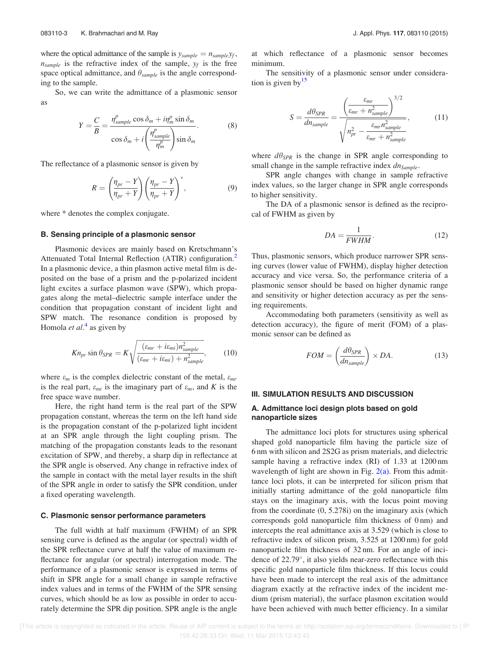where the optical admittance of the sample is  $y_{sample} = n_{sample}y_f$ ,  $n_{sample}$  is the refractive index of the sample,  $y_f$  is the free space optical admittance, and  $\theta_{sample}$  is the angle corresponding to the sample.

So, we can write the admittance of a plasmonic sensor as

$$
Y = \frac{C}{B} = \frac{\eta_{sample}^p \cos \delta_m + i\eta_m^p \sin \delta_m}{\cos \delta_m + i\left(\frac{\eta_{sample}^p}{\eta_m^p}\right) \sin \delta_m}.
$$
 (8)

The reflectance of a plasmonic sensor is given by

$$
R = \left(\frac{\eta_{pr} - Y}{\eta_{pr} + Y}\right) \left(\frac{\eta_{pr} - Y}{\eta_{pr} + Y}\right)^*,\tag{9}
$$

where \* denotes the complex conjugate.

## B. Sensing principle of a plasmonic sensor

Plasmonic devices are mainly based on Kretschmann's Attenuated Total Internal Reflection (ATIR) configuration.<sup>2</sup> In a plasmonic device, a thin plasmon active metal film is deposited on the base of a prism and the p-polarized incident light excites a surface plasmon wave (SPW), which propagates along the metal–dielectric sample interface under the condition that propagation constant of incident light and SPW match. The resonance condition is proposed by Homola *et al*.<sup>4</sup> as given by

$$
Kn_{pr}\sin\theta_{SPR} = K\sqrt{\frac{(\varepsilon_{mr} + i\varepsilon_{mi})n_{sample}^2}{(\varepsilon_{mr} + i\varepsilon_{mi}) + n_{sample}^2}},\qquad(10)
$$

where  $\varepsilon_m$  is the complex dielectric constant of the metal,  $\varepsilon_{mr}$ is the real part,  $\varepsilon_{mi}$  is the imaginary part of  $\varepsilon_m$ , and K is the free space wave number.

Here, the right hand term is the real part of the SPW propagation constant, whereas the term on the left hand side is the propagation constant of the p-polarized light incident at an SPR angle through the light coupling prism. The matching of the propagation constants leads to the resonant excitation of SPW, and thereby, a sharp dip in reflectance at the SPR angle is observed. Any change in refractive index of the sample in contact with the metal layer results in the shift of the SPR angle in order to satisfy the SPR condition, under a fixed operating wavelength.

## C. Plasmonic sensor performance parameters

The full width at half maximum (FWHM) of an SPR sensing curve is defined as the angular (or spectral) width of the SPR reflectance curve at half the value of maximum reflectance for angular (or spectral) interrogation mode. The performance of a plasmonic sensor is expressed in terms of shift in SPR angle for a small change in sample refractive index values and in terms of the FWHM of the SPR sensing curves, which should be as low as possible in order to accurately determine the SPR dip position. SPR angle is the angle at which reflectance of a plasmonic sensor becomes minimum.

The sensitivity of a plasmonic sensor under consideration is given by  $15$ 

$$
S = \frac{d\theta_{SPR}}{dn_{sample}} = \frac{\left(\frac{\varepsilon_{mr}}{\varepsilon_{mr} + n_{sample}^2}\right)^{3/2}}{\sqrt{n_{pr}^2 - \frac{\varepsilon_{mr} n_{sample}^2}{\varepsilon_{mr} + n_{sample}^2}},
$$
(11)

where  $d\theta_{SPR}$  is the change in SPR angle corresponding to small change in the sample refractive index  $dn_{Sample}$ .

SPR angle changes with change in sample refractive index values, so the larger change in SPR angle corresponds to higher sensitivity.

The DA of a plasmonic sensor is defined as the reciprocal of FWHM as given by

$$
DA = \frac{1}{FWHM}.
$$
\n(12)

Thus, plasmonic sensors, which produce narrower SPR sensing curves (lower value of FWHM), display higher detection accuracy and vice versa. So, the performance criteria of a plasmonic sensor should be based on higher dynamic range and sensitivity or higher detection accuracy as per the sensing requirements.

Accommodating both parameters (sensitivity as well as detection accuracy), the figure of merit (FOM) of a plasmonic sensor can be defined as

$$
FOM = \left(\frac{d\theta_{SPR}}{dn_{sample}}\right) \times DA.
$$
 (13)

#### III. SIMULATION RESULTS AND DISCUSSION

## A. Admittance loci design plots based on gold nanoparticle sizes

The admittance loci plots for structures using spherical shaped gold nanoparticle film having the particle size of 6 nm with silicon and 2S2G as prism materials, and dielectric sample having a refractive index (RI) of 1.33 at 1200 nm wavelength of light are shown in Fig.  $2(a)$ . From this admittance loci plots, it can be interpreted for silicon prism that initially starting admittance of the gold nanoparticle film stays on the imaginary axis, with the locus point moving from the coordinate (0, 5.278i) on the imaginary axis (which corresponds gold nanoparticle film thickness of 0 nm) and intercepts the real admittance axis at 3.529 (which is close to refractive index of silicon prism, 3.525 at 1200 nm) for gold nanoparticle film thickness of 32 nm. For an angle of incidence of 22.79 , it also yields near-zero reflectance with this specific gold nanoparticle film thickness. If this locus could have been made to intercept the real axis of the admittance diagram exactly at the refractive index of the incident medium (prism material), the surface plasmon excitation would have been achieved with much better efficiency. In a similar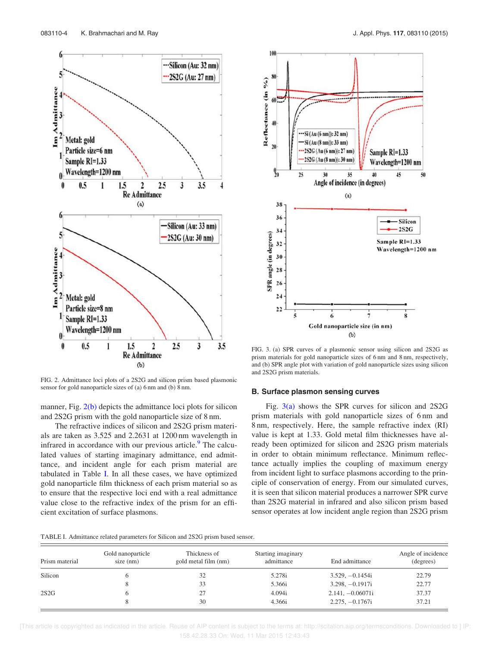

FIG. 2. Admittance loci plots of a 2S2G and silicon prism based plasmonic sensor for gold nanoparticle sizes of (a) 6 nm and (b) 8 nm.

manner, Fig.  $2(b)$  depicts the admittance loci plots for silicon and 2S2G prism with the gold nanoparticle size of 8 nm.

The refractive indices of silicon and 2S2G prism materials are taken as 3.525 and 2.2631 at 1200 nm wavelength in infrared in accordance with our previous article.<sup>9</sup> The calculated values of starting imaginary admittance, end admittance, and incident angle for each prism material are tabulated in Table I. In all these cases, we have optimized gold nanoparticle film thickness of each prism material so as to ensure that the respective loci end with a real admittance value close to the refractive index of the prism for an efficient excitation of surface plasmons.



FIG. 3. (a) SPR curves of a plasmonic sensor using silicon and 2S2G as prism materials for gold nanoparticle sizes of 6 nm and 8 nm, respectively, and (b) SPR angle plot with variation of gold nanoparticle sizes using silicon and 2S2G prism materials.

## B. Surface plasmon sensing curves

Fig. 3(a) shows the SPR curves for silicon and 2S2G prism materials with gold nanoparticle sizes of 6 nm and 8 nm, respectively. Here, the sample refractive index (RI) value is kept at 1.33. Gold metal film thicknesses have already been optimized for silicon and 2S2G prism materials in order to obtain minimum reflectance. Minimum reflectance actually implies the coupling of maximum energy from incident light to surface plasmons according to the principle of conservation of energy. From our simulated curves, it is seen that silicon material produces a narrower SPR curve than 2S2G material in infrared and also silicon prism based sensor operates at low incident angle region than 2S2G prism

| TABLE I. Admittance related parameters for Silicon and 2S2G prism based sensor. |
|---------------------------------------------------------------------------------|
|---------------------------------------------------------------------------------|

| Prism material | Gold nanoparticle<br>$size$ (nm) | Thickness of<br>gold metal film (nm) | Starting imaginary<br>admittance | End admittance     | Angle of incidence<br>(degrees) |
|----------------|----------------------------------|--------------------------------------|----------------------------------|--------------------|---------------------------------|
| Silicon        |                                  | 32                                   | 5.278i                           | $3.529, -0.1454i$  | 22.79                           |
|                | Õ.                               | 33                                   | 5.366i                           | $3.298, -0.1917i$  | 22.77                           |
| 2S2G           |                                  | 27                                   | 4.094i                           | $2.141, -0.06071i$ | 37.37                           |
|                |                                  | 30                                   | 4.366i                           | $2.275, -0.1767i$  | 37.21                           |

 [This article is copyrighted as indicated in the article. Reuse of AIP content is subject to the terms at: http://scitation.aip.org/termsconditions. Downloaded to ] IP: 158.42.28.33 On: Wed, 11 Mar 2015 12:43:43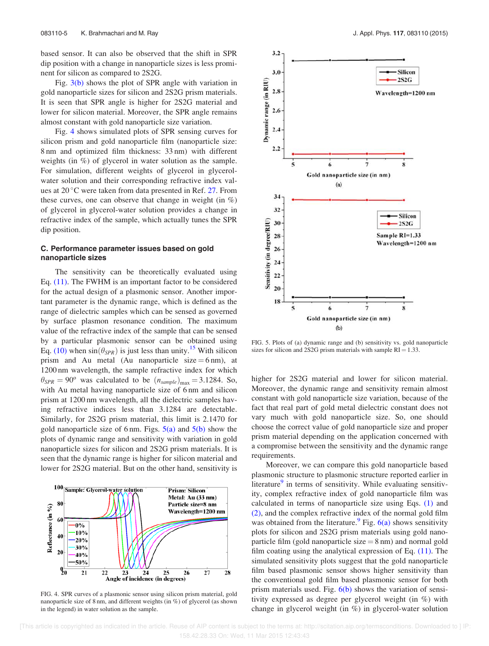based sensor. It can also be observed that the shift in SPR dip position with a change in nanoparticle sizes is less prominent for silicon as compared to 2S2G.

Fig.  $3(b)$  shows the plot of SPR angle with variation in gold nanoparticle sizes for silicon and 2S2G prism materials. It is seen that SPR angle is higher for 2S2G material and lower for silicon material. Moreover, the SPR angle remains almost constant with gold nanoparticle size variation.

Fig. 4 shows simulated plots of SPR sensing curves for silicon prism and gold nanoparticle film (nanoparticle size: 8 nm and optimized film thickness: 33 nm) with different weights (in %) of glycerol in water solution as the sample. For simulation, different weights of glycerol in glycerolwater solution and their corresponding refractive index values at  $20^{\circ}$ C were taken from data presented in Ref. 27. From these curves, one can observe that change in weight (in  $\%$ ) of glycerol in glycerol-water solution provides a change in refractive index of the sample, which actually tunes the SPR dip position.

## C. Performance parameter issues based on gold nanoparticle sizes

The sensitivity can be theoretically evaluated using Eq. (11). The FWHM is an important factor to be considered for the actual design of a plasmonic sensor. Another important parameter is the dynamic range, which is defined as the range of dielectric samples which can be sensed as governed by surface plasmon resonance condition. The maximum value of the refractive index of the sample that can be sensed by a particular plasmonic sensor can be obtained using Eq. (10) when  $sin(\theta_{SPR})$  is just less than unity.<sup>15</sup> With silicon prism and Au metal (Au nanoparticle size  $= 6$  nm), at 1200 nm wavelength, the sample refractive index for which  $\theta_{SPR} = 90^{\circ}$  was calculated to be  $(n_{sample})_{\text{max}} = 3.1284$ . So, with Au metal having nanoparticle size of 6 nm and silicon prism at 1200 nm wavelength, all the dielectric samples having refractive indices less than 3.1284 are detectable. Similarly, for 2S2G prism material, this limit is 2.1470 for gold nanoparticle size of 6 nm. Figs.  $5(a)$  and  $5(b)$  show the plots of dynamic range and sensitivity with variation in gold nanoparticle sizes for silicon and 2S2G prism materials. It is seen that the dynamic range is higher for silicon material and lower for 2S2G material. But on the other hand, sensitivity is



FIG. 4. SPR curves of a plasmonic sensor using silicon prism material, gold nanoparticle size of 8 nm, and different weights (in %) of glycerol (as shown in the legend) in water solution as the sample.



FIG. 5. Plots of (a) dynamic range and (b) sensitivity vs. gold nanoparticle sizes for silicon and 2S2G prism materials with sample  $RI = 1.33$ .

higher for 2S2G material and lower for silicon material. Moreover, the dynamic range and sensitivity remain almost constant with gold nanoparticle size variation, because of the fact that real part of gold metal dielectric constant does not vary much with gold nanoparticle size. So, one should choose the correct value of gold nanoparticle size and proper prism material depending on the application concerned with a compromise between the sensitivity and the dynamic range requirements.

Moreover, we can compare this gold nanoparticle based plasmonic structure to plasmonic structure reported earlier in literature<sup>9</sup> in terms of sensitivity. While evaluating sensitivity, complex refractive index of gold nanoparticle film was calculated in terms of nanoparticle size using Eqs. (1) and (2), and the complex refractive index of the normal gold film was obtained from the literature.  $9$  Fig. 6(a) shows sensitivity plots for silicon and 2S2G prism materials using gold nanoparticle film (gold nanoparticle size  $= 8$  nm) and normal gold film coating using the analytical expression of Eq. (11). The simulated sensitivity plots suggest that the gold nanoparticle film based plasmonic sensor shows higher sensitivity than the conventional gold film based plasmonic sensor for both prism materials used. Fig.  $6(b)$  shows the variation of sensitivity expressed as degree per glycerol weight (in %) with change in glycerol weight (in %) in glycerol-water solution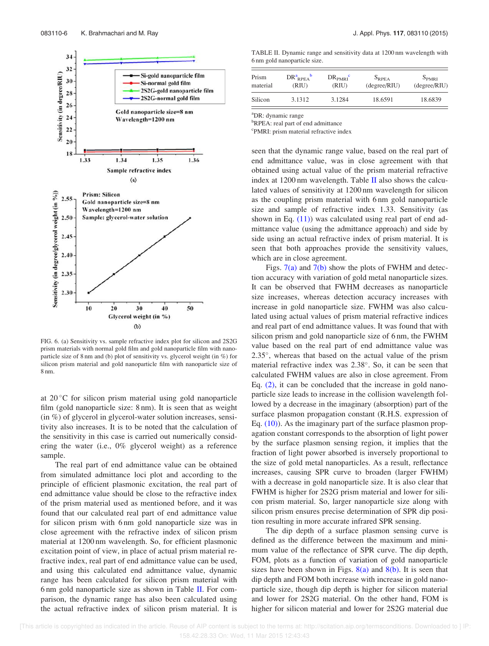

FIG. 6. (a) Sensitivity vs. sample refractive index plot for silicon and 2S2G prism materials with normal gold film and gold nanoparticle film with nanoparticle size of 8 nm and (b) plot of sensitivity vs. glycerol weight (in %) for silicon prism material and gold nanoparticle film with nanoparticle size of 8 nm.

at  $20^{\circ}$ C for silicon prism material using gold nanoparticle film (gold nanoparticle size: 8 nm). It is seen that as weight (in %) of glycerol in glycerol-water solution increases, sensitivity also increases. It is to be noted that the calculation of the sensitivity in this case is carried out numerically considering the water (i.e., 0% glycerol weight) as a reference sample.

The real part of end admittance value can be obtained from simulated admittance loci plot and according to the principle of efficient plasmonic excitation, the real part of end admittance value should be close to the refractive index of the prism material used as mentioned before, and it was found that our calculated real part of end admittance value for silicon prism with 6 nm gold nanoparticle size was in close agreement with the refractive index of silicon prism material at 1200 nm wavelength. So, for efficient plasmonic excitation point of view, in place of actual prism material refractive index, real part of end admittance value can be used, and using this calculated end admittance value, dynamic range has been calculated for silicon prism material with 6 nm gold nanoparticle size as shown in Table II. For comparison, the dynamic range has also been calculated using the actual refractive index of silicon prism material. It is

TABLE II. Dynamic range and sensitivity data at 1200 nm wavelength with 6 nm gold nanoparticle size.

| Prism    | DR <sup>a</sup> <sub>RPEA</sub> | DR <sub>PMRI</sub> | $S_{RPEA}$   | $S_{PMRI}$   |
|----------|---------------------------------|--------------------|--------------|--------------|
| material | (RIU)                           | (RIU)              | (degree/RIU) | (degree/RIU) |
| Silicon  | 3.1312                          | 3.1284             | 18.6591      | 18.6839      |

<sup>a</sup>DR: dynamic range

<sup>b</sup>RPEA: real part of end admittance

c PMRI: prism material refractive index

seen that the dynamic range value, based on the real part of end admittance value, was in close agreement with that obtained using actual value of the prism material refractive index at  $1200 \text{ nm}$  wavelength. Table II also shows the calculated values of sensitivity at 1200 nm wavelength for silicon as the coupling prism material with 6 nm gold nanoparticle size and sample of refractive index 1.33. Sensitivity (as shown in Eq.  $(11)$ ) was calculated using real part of end admittance value (using the admittance approach) and side by side using an actual refractive index of prism material. It is seen that both approaches provide the sensitivity values, which are in close agreement.

Figs.  $7(a)$  and  $7(b)$  show the plots of FWHM and detection accuracy with variation of gold metal nanoparticle sizes. It can be observed that FWHM decreases as nanoparticle size increases, whereas detection accuracy increases with increase in gold nanoparticle size. FWHM was also calculated using actual values of prism material refractive indices and real part of end admittance values. It was found that with silicon prism and gold nanoparticle size of 6 nm, the FWHM value based on the real part of end admittance value was 2.35 , whereas that based on the actual value of the prism material refractive index was 2.38 . So, it can be seen that calculated FWHM values are also in close agreement. From Eq. (2), it can be concluded that the increase in gold nanoparticle size leads to increase in the collision wavelength followed by a decrease in the imaginary (absorption) part of the surface plasmon propagation constant (R.H.S. expression of Eq.  $(10)$ ). As the imaginary part of the surface plasmon propagation constant corresponds to the absorption of light power by the surface plasmon sensing region, it implies that the fraction of light power absorbed is inversely proportional to the size of gold metal nanoparticles. As a result, reflectance increases, causing SPR curve to broaden (larger FWHM) with a decrease in gold nanoparticle size. It is also clear that FWHM is higher for 2S2G prism material and lower for silicon prism material. So, larger nanoparticle size along with silicon prism ensures precise determination of SPR dip position resulting in more accurate infrared SPR sensing.

The dip depth of a surface plasmon sensing curve is defined as the difference between the maximum and minimum value of the reflectance of SPR curve. The dip depth, FOM, plots as a function of variation of gold nanoparticle sizes have been shown in Figs.  $8(a)$  and  $8(b)$ . It is seen that dip depth and FOM both increase with increase in gold nanoparticle size, though dip depth is higher for silicon material and lower for 2S2G material. On the other hand, FOM is higher for silicon material and lower for 2S2G material due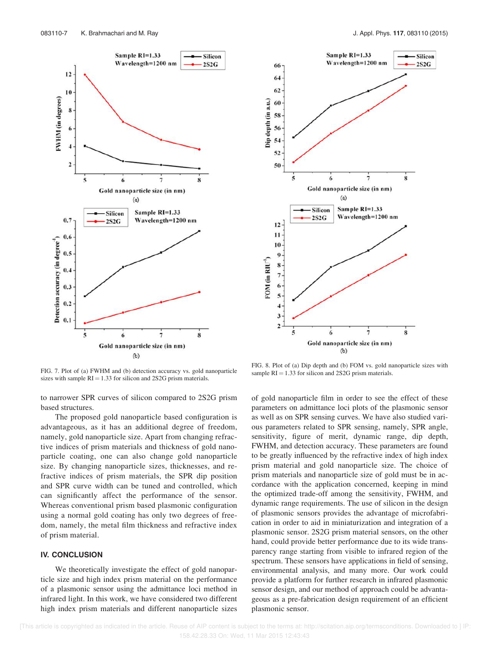



FIG. 7. Plot of (a) FWHM and (b) detection accuracy vs. gold nanoparticle sizes with sample  $RI = 1.33$  for silicon and 2S2G prism materials.

to narrower SPR curves of silicon compared to 2S2G prism based structures.

The proposed gold nanoparticle based configuration is advantageous, as it has an additional degree of freedom, namely, gold nanoparticle size. Apart from changing refractive indices of prism materials and thickness of gold nanoparticle coating, one can also change gold nanoparticle size. By changing nanoparticle sizes, thicknesses, and refractive indices of prism materials, the SPR dip position and SPR curve width can be tuned and controlled, which can significantly affect the performance of the sensor. Whereas conventional prism based plasmonic configuration using a normal gold coating has only two degrees of freedom, namely, the metal film thickness and refractive index of prism material.

## IV. CONCLUSION

We theoretically investigate the effect of gold nanoparticle size and high index prism material on the performance of a plasmonic sensor using the admittance loci method in infrared light. In this work, we have considered two different high index prism materials and different nanoparticle sizes

of gold nanoparticle film in order to see the effect of these parameters on admittance loci plots of the plasmonic sensor as well as on SPR sensing curves. We have also studied various parameters related to SPR sensing, namely, SPR angle, sensitivity, figure of merit, dynamic range, dip depth, FWHM, and detection accuracy. These parameters are found to be greatly influenced by the refractive index of high index prism material and gold nanoparticle size. The choice of prism materials and nanoparticle size of gold must be in accordance with the application concerned, keeping in mind the optimized trade-off among the sensitivity, FWHM, and dynamic range requirements. The use of silicon in the design of plasmonic sensors provides the advantage of microfabrication in order to aid in miniaturization and integration of a plasmonic sensor. 2S2G prism material sensors, on the other hand, could provide better performance due to its wide transparency range starting from visible to infrared region of the spectrum. These sensors have applications in field of sensing, environmental analysis, and many more. Our work could provide a platform for further research in infrared plasmonic sensor design, and our method of approach could be advantageous as a pre-fabrication design requirement of an efficient plasmonic sensor.

FIG. 8. Plot of (a) Dip depth and (b) FOM vs. gold nanoparticle sizes with sample  $RI = 1.33$  for silicon and 2S2G prism materials.